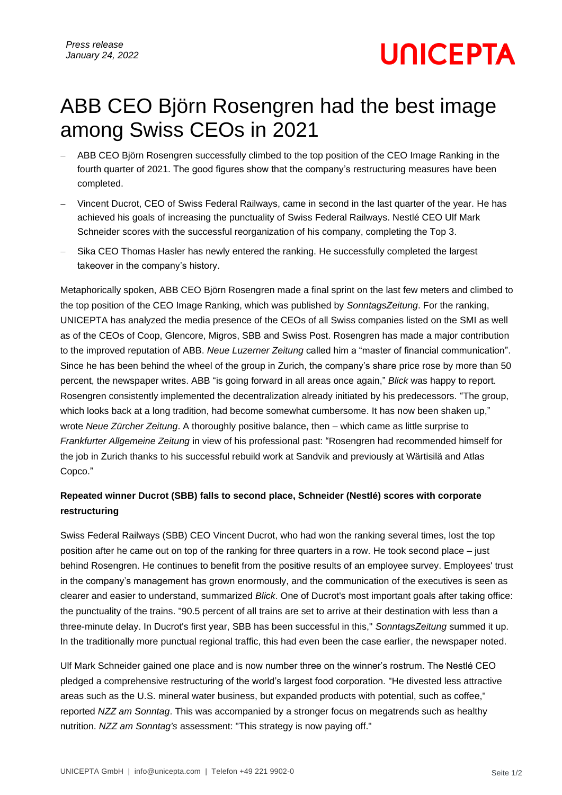**UNICEPTA** 

## ABB CEO Björn Rosengren had the best image among Swiss CEOs in 2021

- ABB CEO Björn Rosengren successfully climbed to the top position of the CEO Image Ranking in the fourth quarter of 2021. The good figures show that the company's restructuring measures have been completed.
- − Vincent Ducrot, CEO of Swiss Federal Railways, came in second in the last quarter of the year. He has achieved his goals of increasing the punctuality of Swiss Federal Railways. Nestlé CEO Ulf Mark Schneider scores with the successful reorganization of his company, completing the Top 3.
- Sika CEO Thomas Hasler has newly entered the ranking. He successfully completed the largest takeover in the company's history.

Metaphorically spoken, ABB CEO Björn Rosengren made a final sprint on the last few meters and climbed to the top position of the CEO Image Ranking, which was published by *SonntagsZeitung*. For the ranking, UNICEPTA has analyzed the media presence of the CEOs of all Swiss companies listed on the SMI as well as of the CEOs of Coop, Glencore, Migros, SBB and Swiss Post. Rosengren has made a major contribution to the improved reputation of ABB. *Neue Luzerner Zeitung* called him a "master of financial communication". Since he has been behind the wheel of the group in Zurich, the company's share price rose by more than 50 percent, the newspaper writes. ABB "is going forward in all areas once again," *Blick* was happy to report. Rosengren consistently implemented the decentralization already initiated by his predecessors. "The group, which looks back at a long tradition, had become somewhat cumbersome. It has now been shaken up," wrote *Neue Zürcher Zeitung*. A thoroughly positive balance, then – which came as little surprise to *Frankfurter Allgemeine Zeitung* in view of his professional past: "Rosengren had recommended himself for the job in Zurich thanks to his successful rebuild work at Sandvik and previously at Wärtisilä and Atlas Copco."

### **Repeated winner Ducrot (SBB) falls to second place, Schneider (Nestlé) scores with corporate restructuring**

Swiss Federal Railways (SBB) CEO Vincent Ducrot, who had won the ranking several times, lost the top position after he came out on top of the ranking for three quarters in a row. He took second place – just behind Rosengren. He continues to benefit from the positive results of an employee survey. Employees' trust in the company's management has grown enormously, and the communication of the executives is seen as clearer and easier to understand, summarized *Blick*. One of Ducrot's most important goals after taking office: the punctuality of the trains. "90.5 percent of all trains are set to arrive at their destination with less than a three-minute delay. In Ducrot's first year, SBB has been successful in this," *SonntagsZeitung* summed it up. In the traditionally more punctual regional traffic, this had even been the case earlier, the newspaper noted.

Ulf Mark Schneider gained one place and is now number three on the winner's rostrum. The Nestlé CEO pledged a comprehensive restructuring of the world's largest food corporation. "He divested less attractive areas such as the U.S. mineral water business, but expanded products with potential, such as coffee," reported *NZZ am Sonntag*. This was accompanied by a stronger focus on megatrends such as healthy nutrition. *NZZ am Sonntag's* assessment: "This strategy is now paying off."